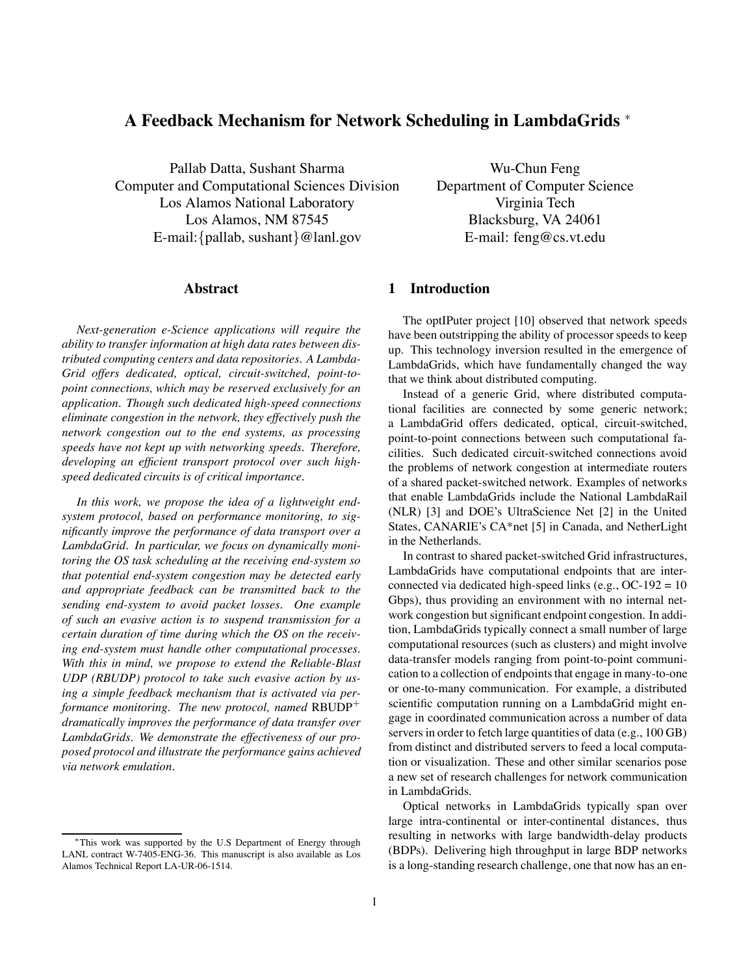# **A Feedback Mechanism for Network Scheduling in LambdaGrids** <sup>∗</sup>

Pallab Datta, Sushant Sharma Computer and Computational Sciences Division Los Alamos National Laboratory Los Alamos, NM 87545 E-mail:{pallab, sushant}@lanl.gov

#### **Abstract**

*Next-generation e-Science applications will require the ability to transfer information at high data rates between distributed computing centers and data repositories. A Lambda-Grid offers dedicated, optical, circuit-switched, point-topoint connections, which may be reserved exclusively for an application. Though such dedicated high-speed connections eliminate congestion in the network, they effectively push the network congestion out to the end systems, as processing speeds have not kept up with networking speeds. Therefore, developing an efficient transport protocol over such highspeed dedicated circuits is of critical importance.*

*In this work, we propose the idea of a lightweight endsystem protocol, based on performance monitoring, to significantly improve the performance of data transport over a LambdaGrid. In particular, we focus on dynamically monitoring the OS task scheduling at the receiving end-system so that potential end-system congestion may be detected early and appropriate feedback can be transmitted back to the sending end-system to avoid packet losses. One example of such an evasive action is to suspend transmission for a certain duration of time during which the OS on the receiving end-system must handle other computational processes. With this in mind, we propose to extend the Reliable-Blast UDP (RBUDP) protocol to take such evasive action by using a simple feedback mechanism that is activated via performance monitoring. The new protocol, named RBUDP<sup>+</sup> dramatically improves the performance of data transfer over LambdaGrids. We demonstrate the effectiveness of our proposed protocol and illustrate the performance gains achieved via network emulation.*

Wu-Chun Feng Department of Computer Science Virginia Tech Blacksburg, VA 24061 E-mail: feng@cs.vt.edu

## **1 Introduction**

The optIPuter project [10] observed that network speeds have been outstripping the ability of processor speeds to keep up. This technology inversion resulted in the emergence of LambdaGrids, which have fundamentally changed the way that we think about distributed computing.

Instead of a generic Grid, where distributed computational facilities are connected by some generic network; a LambdaGrid offers dedicated, optical, circuit-switched, point-to-point connections between such computational facilities. Such dedicated circuit-switched connections avoid the problems of network congestion at intermediate routers of a shared packet-switched network. Examples of networks that enable LambdaGrids include the National LambdaRail (NLR) [3] and DOE's UltraScience Net [2] in the United States, CANARIE's CA\*net [5] in Canada, and NetherLight in the Netherlands.

In contrast to shared packet-switched Grid infrastructures, LambdaGrids have computational endpoints that are interconnected via dedicated high-speed links (e.g., OC-192 = 10 Gbps), thus providing an environment with no internal network congestion but significant endpoint congestion. In addition, LambdaGrids typically connect a small number of large computational resources (such as clusters) and might involve data-transfer models ranging from point-to-point communication to a collection of endpoints that engage in many-to-one or one-to-many communication. For example, a distributed scientific computation running on a LambdaGrid might engage in coordinated communication across a number of data servers in order to fetch large quantities of data (e.g., 100 GB) from distinct and distributed servers to feed a local computation or visualization. These and other similar scenarios pose a new set of research challenges for network communication in LambdaGrids.

Optical networks in LambdaGrids typically span over large intra-continental or inter-continental distances, thus resulting in networks with large bandwidth-delay products (BDPs). Delivering high throughput in large BDP networks is a long-standing research challenge, one that now has an en-

<sup>∗</sup>This work was supported by the U.S Department of Energy through LANL contract W-7405-ENG-36. This manuscript is also available as Los Alamos Technical Report LA-UR-06-1514.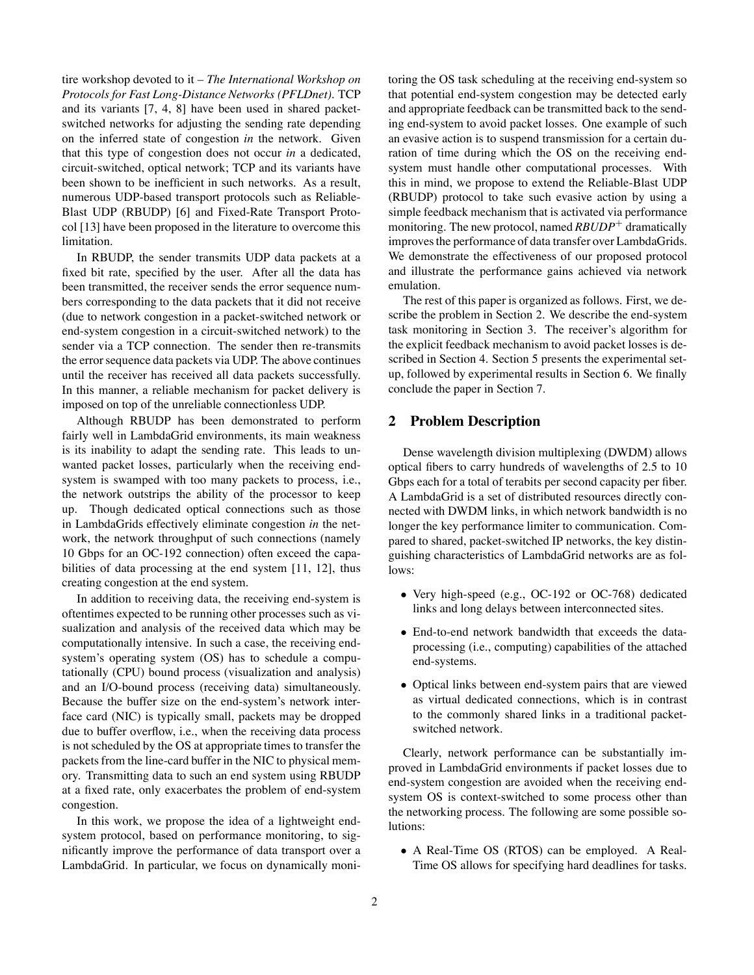tire workshop devoted to it – *The International Workshop on Protocols for Fast Long-Distance Networks (PFLDnet)*. TCP and its variants [7, 4, 8] have been used in shared packetswitched networks for adjusting the sending rate depending on the inferred state of congestion *in* the network. Given that this type of congestion does not occur *in* a dedicated, circuit-switched, optical network; TCP and its variants have been shown to be inefficient in such networks. As a result, numerous UDP-based transport protocols such as Reliable-Blast UDP (RBUDP) [6] and Fixed-Rate Transport Protocol [13] have been proposed in the literature to overcome this limitation.

In RBUDP, the sender transmits UDP data packets at a fixed bit rate, specified by the user. After all the data has been transmitted, the receiver sends the error sequence numbers corresponding to the data packets that it did not receive (due to network congestion in a packet-switched network or end-system congestion in a circuit-switched network) to the sender via a TCP connection. The sender then re-transmits the errorsequence data packets via UDP. The above continues until the receiver has received all data packets successfully. In this manner, a reliable mechanism for packet delivery is imposed on top of the unreliable connectionless UDP.

Although RBUDP has been demonstrated to perform fairly well in LambdaGrid environments, its main weakness is its inability to adapt the sending rate. This leads to unwanted packet losses, particularly when the receiving endsystem is swamped with too many packets to process, i.e., the network outstrips the ability of the processor to keep up. Though dedicated optical connections such as those in LambdaGrids effectively eliminate congestion *in* the network, the network throughput of such connections (namely 10 Gbps for an OC-192 connection) often exceed the capabilities of data processing at the end system [11, 12], thus creating congestion at the end system.

In addition to receiving data, the receiving end-system is oftentimes expected to be running other processes such as visualization and analysis of the received data which may be computationally intensive. In such a case, the receiving endsystem's operating system (OS) has to schedule a computationally (CPU) bound process (visualization and analysis) and an I/O-bound process (receiving data) simultaneously. Because the buffer size on the end-system's network interface card (NIC) is typically small, packets may be dropped due to buffer overflow, i.e., when the receiving data process is not scheduled by the OS at appropriate times to transfer the packets from the line-card buffer in the NIC to physical memory. Transmitting data to such an end system using RBUDP at a fixed rate, only exacerbates the problem of end-system congestion.

In this work, we propose the idea of a lightweight endsystem protocol, based on performance monitoring, to significantly improve the performance of data transport over a LambdaGrid. In particular, we focus on dynamically monitoring the OS task scheduling at the receiving end-system so that potential end-system congestion may be detected early and appropriate feedback can be transmitted back to the sending end-system to avoid packet losses. One example of such an evasive action is to suspend transmission for a certain duration of time during which the OS on the receiving endsystem must handle other computational processes. With this in mind, we propose to extend the Reliable-Blast UDP (RBUDP) protocol to take such evasive action by using a simple feedback mechanism that is activated via performance monitoring. The new protocol, named *RBUDP*<sup>+</sup> dramatically improves the performance of data transfer over LambdaGrids. We demonstrate the effectiveness of our proposed protocol and illustrate the performance gains achieved via network emulation.

The rest of this paper is organized as follows. First, we describe the problem in Section 2. We describe the end-system task monitoring in Section 3. The receiver's algorithm for the explicit feedback mechanism to avoid packet losses is described in Section 4. Section 5 presents the experimental setup, followed by experimental results in Section 6. We finally conclude the paper in Section 7.

## **2 Problem Description**

Dense wavelength division multiplexing (DWDM) allows optical fibers to carry hundreds of wavelengths of 2.5 to 10 Gbps each for a total of terabits per second capacity per fiber. A LambdaGrid is a set of distributed resources directly connected with DWDM links, in which network bandwidth is no longer the key performance limiter to communication. Compared to shared, packet-switched IP networks, the key distinguishing characteristics of LambdaGrid networks are as follows:

- Very high-speed (e.g., OC-192 or OC-768) dedicated links and long delays between interconnected sites.
- End-to-end network bandwidth that exceeds the dataprocessing (i.e., computing) capabilities of the attached end-systems.
- Optical links between end-system pairs that are viewed as virtual dedicated connections, which is in contrast to the commonly shared links in a traditional packetswitched network.

Clearly, network performance can be substantially improved in LambdaGrid environments if packet losses due to end-system congestion are avoided when the receiving endsystem OS is context-switched to some process other than the networking process. The following are some possible solutions:

• A Real-Time OS (RTOS) can be employed. A Real-Time OS allows for specifying hard deadlines for tasks.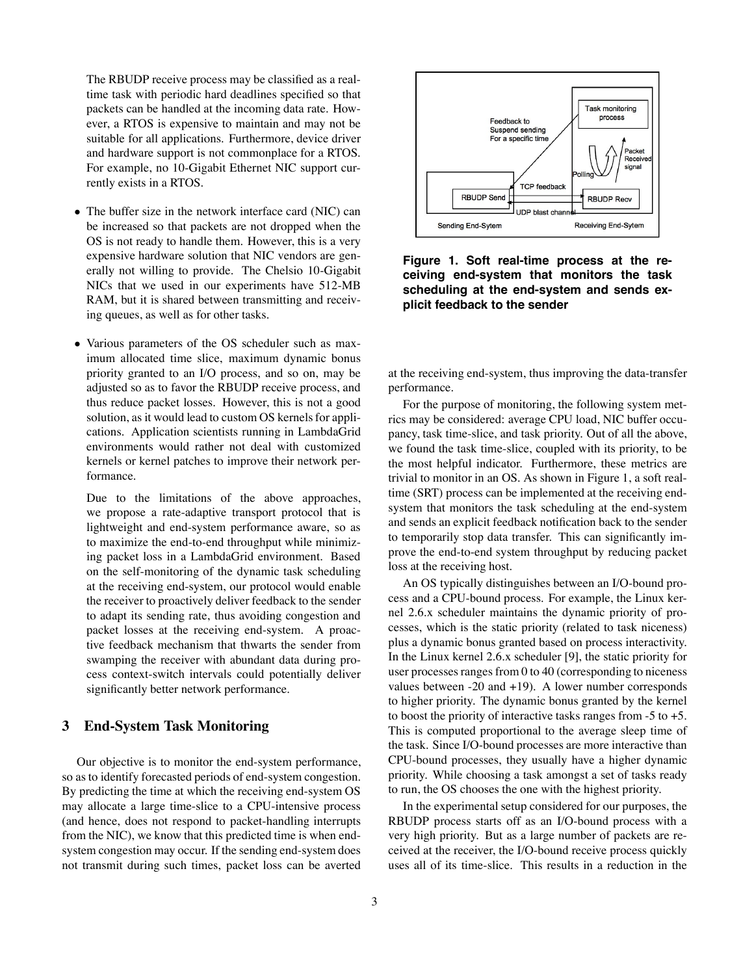The RBUDP receive process may be classified as a realtime task with periodic hard deadlines specified so that packets can be handled at the incoming data rate. However, a RTOS is expensive to maintain and may not be suitable for all applications. Furthermore, device driver and hardware support is not commonplace for a RTOS. For example, no 10-Gigabit Ethernet NIC support currently exists in a RTOS.

- The buffer size in the network interface card (NIC) can be increased so that packets are not dropped when the OS is not ready to handle them. However, this is a very expensive hardware solution that NIC vendors are generally not willing to provide. The Chelsio 10-Gigabit NICs that we used in our experiments have 512-MB RAM, but it is shared between transmitting and receiving queues, as well as for other tasks.
- Various parameters of the OS scheduler such as maximum allocated time slice, maximum dynamic bonus priority granted to an I/O process, and so on, may be adjusted so as to favor the RBUDP receive process, and thus reduce packet losses. However, this is not a good solution, as it would lead to custom OS kernels for applications. Application scientists running in LambdaGrid environments would rather not deal with customized kernels or kernel patches to improve their network performance.

Due to the limitations of the above approaches, we propose a rate-adaptive transport protocol that is lightweight and end-system performance aware, so as to maximize the end-to-end throughput while minimizing packet loss in a LambdaGrid environment. Based on the self-monitoring of the dynamic task scheduling at the receiving end-system, our protocol would enable the receiver to proactively deliver feedback to the sender to adapt its sending rate, thus avoiding congestion and packet losses at the receiving end-system. A proactive feedback mechanism that thwarts the sender from swamping the receiver with abundant data during process context-switch intervals could potentially deliver significantly better network performance.

# **3 End-System Task Monitoring**

Our objective is to monitor the end-system performance, so as to identify forecasted periods of end-system congestion. By predicting the time at which the receiving end-system OS may allocate a large time-slice to a CPU-intensive process (and hence, does not respond to packet-handling interrupts from the NIC), we know that this predicted time is when endsystem congestion may occur. If the sending end-system does not transmit during such times, packet loss can be averted



**Figure 1. Soft real-time process at the receiving end-system that monitors the task scheduling at the end-system and sends explicit feedback to the sender**

at the receiving end-system, thus improving the data-transfer performance.

For the purpose of monitoring, the following system metrics may be considered: average CPU load, NIC buffer occupancy, task time-slice, and task priority. Out of all the above, we found the task time-slice, coupled with its priority, to be the most helpful indicator. Furthermore, these metrics are trivial to monitor in an OS. As shown in Figure 1, a soft realtime (SRT) process can be implemented at the receiving endsystem that monitors the task scheduling at the end-system and sends an explicit feedback notification back to the sender to temporarily stop data transfer. This can significantly improve the end-to-end system throughput by reducing packet loss at the receiving host.

An OS typically distinguishes between an I/O-bound process and a CPU-bound process. For example, the Linux kernel 2.6.x scheduler maintains the dynamic priority of processes, which is the static priority (related to task niceness) plus a dynamic bonus granted based on process interactivity. In the Linux kernel 2.6.x scheduler [9], the static priority for user processes ranges from  $0$  to  $40$  (corresponding to niceness values between  $-20$  and  $+19$ ). A lower number corresponds to higher priority. The dynamic bonus granted by the kernel to boost the priority of interactive tasks ranges from  $-5$  to  $+5$ . This is computed proportional to the average sleep time of the task. Since I/O-bound processes are more interactive than CPU-bound processes, they usually have a higher dynamic priority. While choosing a task amongst a set of tasks ready to run, the OS chooses the one with the highest priority.

In the experimental setup considered for our purposes, the RBUDP process starts off as an I/O-bound process with a very high priority. But as a large number of packets are received at the receiver, the I/O-bound receive process quickly uses all of its time-slice. This results in a reduction in the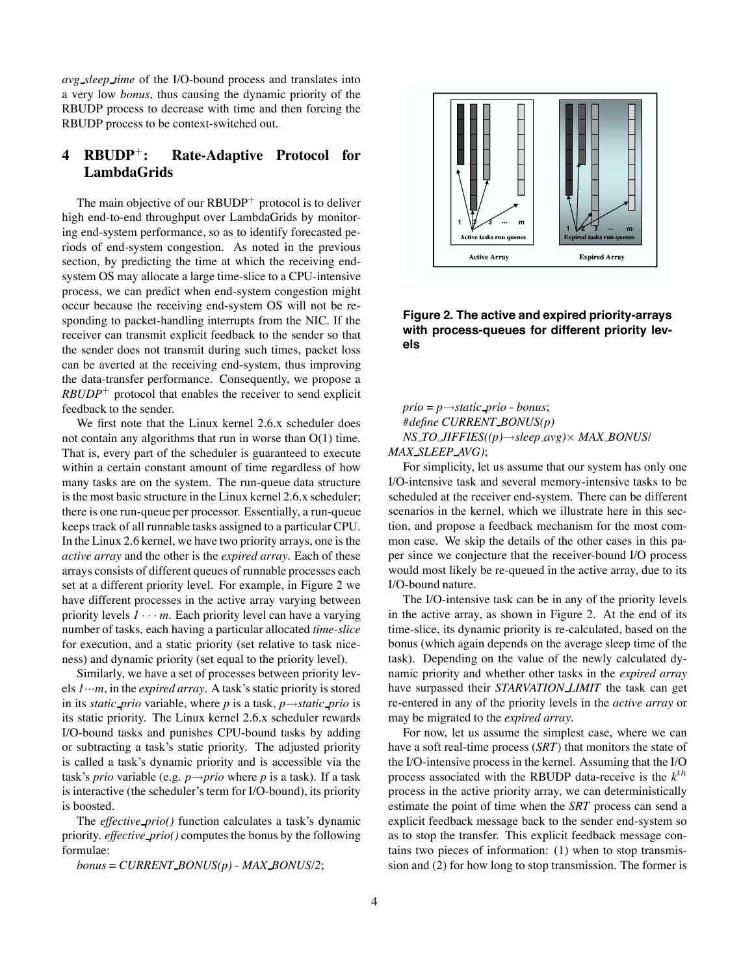*avg sleep time* of the I/O-bound process and translates into a very low *bonus*, thus causing the dynamic priority of the RBUDP process to decrease with time and then forcing the RBUDP process to be context-switched out.

# **4 RBUDP**<sup>+</sup>**: Rate-Adaptive Protocol for LambdaGrids**

The main objective of our  $RBUDP<sup>+</sup>$  protocol is to deliver high end-to-end throughput over LambdaGrids by monitoring end-system performance, so as to identify forecasted periods of end-system congestion. As noted in the previous section, by predicting the time at which the receiving endsystem OS may allocate a large time-slice to a CPU-intensive process, we can predict when end-system congestion might occur because the receiving end-system OS will not be responding to packet-handling interrupts from the NIC. If the receiver can transmit explicit feedback to the sender so that the sender does not transmit during such times, packet loss can be averted at the receiving end-system, thus improving the data-transfer performance. Consequently, we propose a  $RBUDP<sup>+</sup>$  protocol that enables the receiver to send explicit feedback to the sender.

We first note that the Linux kernel 2.6.x scheduler does not contain any algorithms that run in worse than O(1) time. That is, every part of the scheduler is guaranteed to execute within a certain constant amount of time regardless of how many tasks are on the system. The run-queue data structure is the most basic structure in the Linux kernel 2.6.x scheduler; there is one run-queue per processor. Essentially, a run-queue keeps track of all runnable tasks assigned to a particular CPU. In the Linux 2.6 kernel, we have two priority arrays, one is the *active array* and the other is the *expired array*. Each of these arrays consists of different queues of runnable processes each set at a different priority level. For example, in Figure 2 we have different processes in the active array varying between priority levels  $1 \cdots m$ . Each priority level can have a varying number of tasks, each having a particular allocated *time-slice* for execution, and a static priority (set relative to task niceness) and dynamic priority (set equal to the priority level).

Similarly, we have a set of processes between priority levels  $1 \cdots m$ , in the *expired array*. A task's static priority is stored in its *static prio* variable, where *p* is a task, *p*→*static prio* is its static priority. The Linux kernel 2.6.x scheduler rewards I/O-bound tasks and punishes CPU-bound tasks by adding or subtracting a task's static priority. The adjusted priority is called a task's dynamic priority and is accessible via the task's *prio* variable (e.g. *p*→*prio* where *p* is a task). If a task is interactive (the scheduler's term for I/O-bound), its priority is boosted.

The *effective prio()* function calculates a task's dynamic priority. *effective prio()* computes the bonus by the following formulae:

*bonus* = *CURRENT BONUS(p)* - *MAX BONUS/2*;



**Figure 2. The active and expired priority-arrays with process-queues for different priority levels**

*prio* = *p*→*static prio* - *bonus*; *#define CURRENT BONUS(p) NS TO JIFFIES((p)*→*sleep avg)*× *MAX BONUS*/ *MAX SLEEP AVG)*;

For simplicity, let us assume that our system has only one I/O-intensive task and several memory-intensive tasks to be scheduled at the receiver end-system. There can be different scenarios in the kernel, which we illustrate here in this section, and propose a feedback mechanism for the most common case. We skip the details of the other cases in this paper since we conjecture that the receiver-bound I/O process would most likely be re-queued in the active array, due to its I/O-bound nature.

The I/O-intensive task can be in any of the priority levels in the active array, as shown in Figure 2. At the end of its time-slice, its dynamic priority is re-calculated, based on the bonus (which again depends on the average sleep time of the task). Depending on the value of the newly calculated dynamic priority and whether other tasks in the *expired array* have surpassed their *STARVATION LIMIT* the task can get re-entered in any of the priority levels in the *active array* or may be migrated to the *expired array*.

For now, let us assume the simplest case, where we can have a soft real-time process (*SRT*) that monitors the state of the I/O-intensive process in the kernel. Assuming that the I/O process associated with the RBUDP data-receive is the  $k<sup>th</sup>$ process in the active priority array, we can deterministically estimate the point of time when the *SRT* process can send a explicit feedback message back to the sender end-system so as to stop the transfer. This explicit feedback message contains two pieces of information: (1) when to stop transmission and (2) for how long to stop transmission. The former is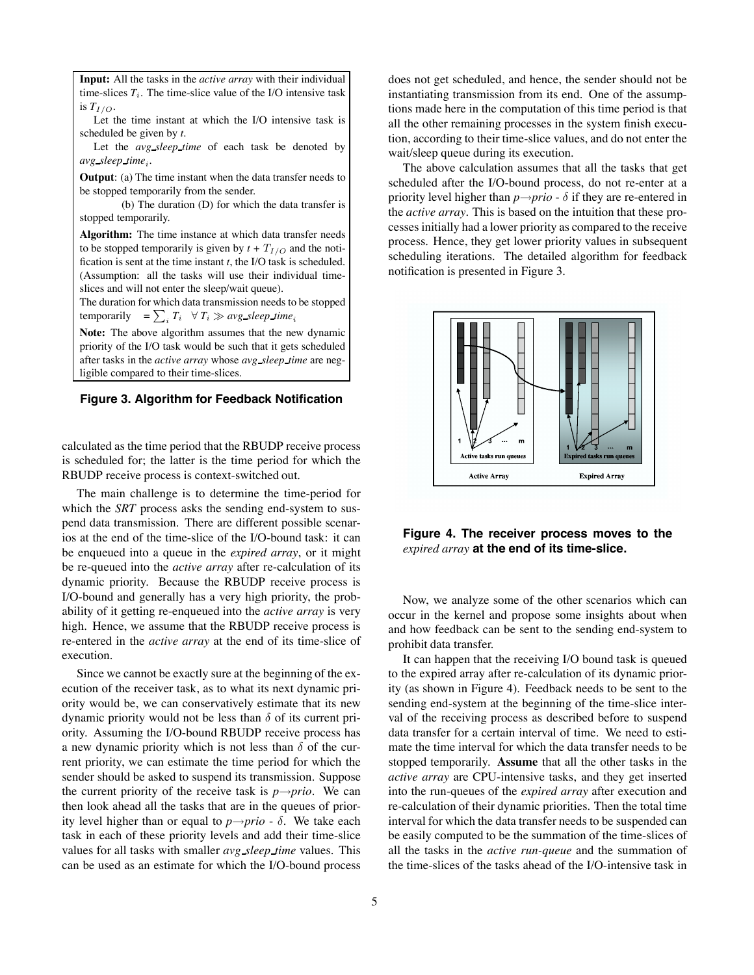**Input:** All the tasks in the *active array* with their individual time-slices  $T_i$ . The time-slice value of the I/O intensive task is  $T_{I/O}$ .

Let the time instant at which the I/O intensive task is scheduled be given by *t*.

Let the *avg sleep time* of each task be denoted by *avg sleep time*<sub>i</sub>.

**Output**: (a) The time instant when the data transfer needs to be stopped temporarily from the sender.

(b) The duration (D) for which the data transfer is stopped temporarily.

**Algorithm:** The time instance at which data transfer needs to be stopped temporarily is given by  $t + T_{I/O}$  and the notification is sent at the time instant *t*, the I/O task is scheduled. (Assumption: all the tasks will use their individual timeslices and will not enter the sleep/wait queue).

The duration for which data transmission needs to be stopped temporarily  $= \sum_i T_i \quad \forall T_i \gg avg\_sleep\_time_i$ 

**Note:** The above algorithm assumes that the new dynamic priority of the I/O task would be such that it gets scheduled after tasks in the *active array* whose *avg sleep time* are negligible compared to their time-slices.

#### **Figure 3. Algorithm for Feedback Notification**

calculated as the time period that the RBUDP receive process is scheduled for; the latter is the time period for which the RBUDP receive process is context-switched out.

The main challenge is to determine the time-period for which the *SRT* process asks the sending end-system to suspend data transmission. There are different possible scenarios at the end of the time-slice of the I/O-bound task: it can be enqueued into a queue in the *expired array*, or it might be re-queued into the *active array* after re-calculation of its dynamic priority. Because the RBUDP receive process is I/O-bound and generally has a very high priority, the probability of it getting re-enqueued into the *active array* is very high. Hence, we assume that the RBUDP receive process is re-entered in the *active array* at the end of its time-slice of execution.

Since we cannot be exactly sure at the beginning of the execution of the receiver task, as to what its next dynamic priority would be, we can conservatively estimate that its new dynamic priority would not be less than  $\delta$  of its current priority. Assuming the I/O-bound RBUDP receive process has a new dynamic priority which is not less than  $\delta$  of the current priority, we can estimate the time period for which the sender should be asked to suspend its transmission. Suppose the current priority of the receive task is  $p \rightarrow prio$ . We can then look ahead all the tasks that are in the queues of priority level higher than or equal to  $p \rightarrow pri$  -  $\delta$ . We take each task in each of these priority levels and add their time-slice values for all tasks with smaller *avg sleep time* values. This can be used as an estimate for which the I/O-bound process does not get scheduled, and hence, the sender should not be instantiating transmission from its end. One of the assumptions made here in the computation of this time period is that all the other remaining processes in the system finish execution, according to their time-slice values, and do not enter the wait/sleep queue during its execution.

The above calculation assumes that all the tasks that get scheduled after the I/O-bound process, do not re-enter at a priority level higher than  $p \rightarrow prio - \delta$  if they are re-entered in the *active array*. This is based on the intuition that these processes initially had a lower priority as compared to the receive process. Hence, they get lower priority values in subsequent scheduling iterations. The detailed algorithm for feedback notification is presented in Figure 3.



**Figure 4. The receiver process moves to the** *expired array* **at the end of its time-slice.**

Now, we analyze some of the other scenarios which can occur in the kernel and propose some insights about when and how feedback can be sent to the sending end-system to prohibit data transfer.

It can happen that the receiving I/O bound task is queued to the expired array after re-calculation of its dynamic priority (as shown in Figure 4). Feedback needs to be sent to the sending end-system at the beginning of the time-slice interval of the receiving process as described before to suspend data transfer for a certain interval of time. We need to estimate the time interval for which the data transfer needs to be stopped temporarily. **Assume** that all the other tasks in the *active array* are CPU-intensive tasks, and they get inserted into the run-queues of the *expired array* after execution and re-calculation of their dynamic priorities. Then the total time interval for which the data transfer needs to be suspended can be easily computed to be the summation of the time-slices of all the tasks in the *active run-queue* and the summation of the time-slices of the tasks ahead of the I/O-intensive task in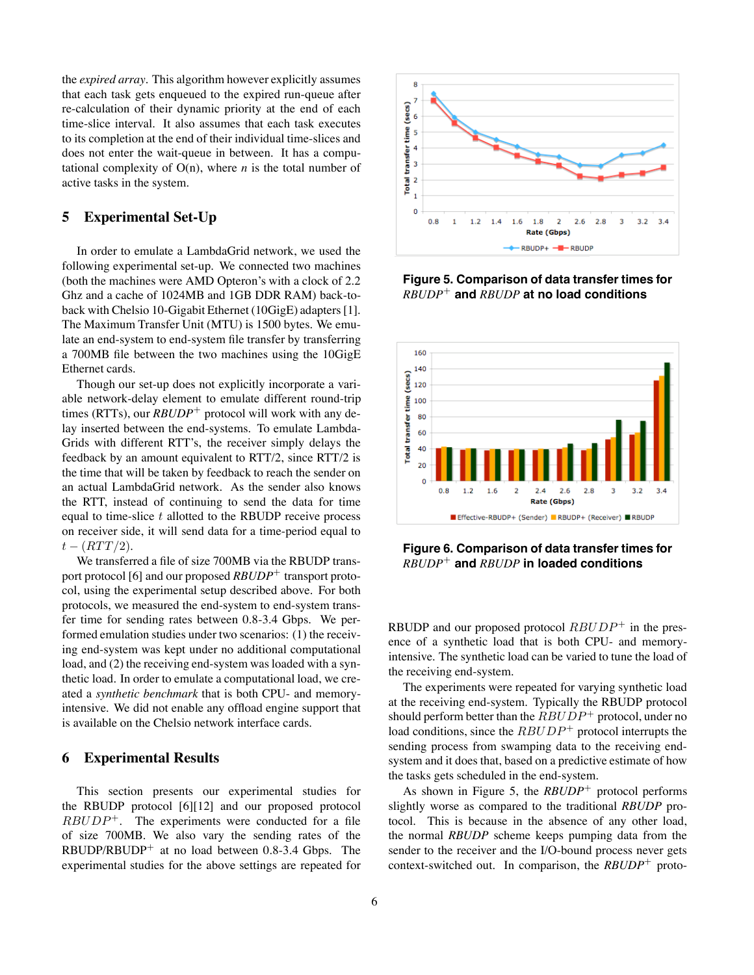the *expired array*. This algorithm however explicitly assumes that each task gets enqueued to the expired run-queue after re-calculation of their dynamic priority at the end of each time-slice interval. It also assumes that each task executes to its completion at the end of their individual time-slices and does not enter the wait-queue in between. It has a computational complexity of  $O(n)$ , where *n* is the total number of active tasks in the system.

# **5 Experimental Set-Up**

In order to emulate a LambdaGrid network, we used the following experimental set-up. We connected two machines (both the machines were AMD Opteron's with a clock of 2.2 Ghz and a cache of 1024MB and 1GB DDR RAM) back-toback with Chelsio 10-Gigabit Ethernet (10GigE) adapters[1]. The Maximum Transfer Unit (MTU) is 1500 bytes. We emulate an end-system to end-system file transfer by transferring a 700MB file between the two machines using the 10GigE Ethernet cards.

Though our set-up does not explicitly incorporate a variable network-delay element to emulate different round-trip times (RTTs), our *RBUDP*<sup>+</sup> protocol will work with any delay inserted between the end-systems. To emulate Lambda-Grids with different RTT's, the receiver simply delays the feedback by an amount equivalent to RTT/2, since RTT/2 is the time that will be taken by feedback to reach the sender on an actual LambdaGrid network. As the sender also knows the RTT, instead of continuing to send the data for time equal to time-slice  $t$  allotted to the RBUDP receive process on receiver side, it will send data for a time-period equal to  $t - (RTT/2).$ 

We transferred a file of size 700MB via the RBUDP transport protocol [6] and our proposed *RBUDP*<sup>+</sup> transport protocol, using the experimental setup described above. For both protocols, we measured the end-system to end-system transfer time for sending rates between 0.8-3.4 Gbps. We performed emulation studies under two scenarios: (1) the receiving end-system was kept under no additional computational load, and (2) the receiving end-system was loaded with a synthetic load. In order to emulate a computational load, we created a *synthetic benchmark* that is both CPU- and memoryintensive. We did not enable any offload engine support that is available on the Chelsio network interface cards.

# **6 Experimental Results**

This section presents our experimental studies for the RBUDP protocol [6][12] and our proposed protocol  $RBUDP<sup>+</sup>$ . The experiments were conducted for a file of size 700MB. We also vary the sending rates of the  $RBUDP/RBUDP<sup>+</sup>$  at no load between 0.8-3.4 Gbps. The experimental studies for the above settings are repeated for



**Figure 5. Comparison of data transfer times for** *RBUDP*<sup>+</sup> **and** *RBUDP* **at no load conditions**



**Figure 6. Comparison of data transfer times for** *RBUDP*<sup>+</sup> **and** *RBUDP* **in loaded conditions**

RBUDP and our proposed protocol  $RBUDP^+$  in the presence of a synthetic load that is both CPU- and memoryintensive. The synthetic load can be varied to tune the load of the receiving end-system.

The experiments were repeated for varying synthetic load at the receiving end-system. Typically the RBUDP protocol should perform better than the  $RBUDP<sup>+</sup>$  protocol, under no load conditions, since the  $RBUDP<sup>+</sup>$  protocol interrupts the sending process from swamping data to the receiving endsystem and it does that, based on a predictive estimate of how the tasks gets scheduled in the end-system.

As shown in Figure 5, the *RBUDP*<sup>+</sup> protocol performs slightly worse as compared to the traditional *RBUDP* protocol. This is because in the absence of any other load, the normal *RBUDP* scheme keeps pumping data from the sender to the receiver and the I/O-bound process never gets context-switched out. In comparison, the *RBUDP*<sup>+</sup> proto-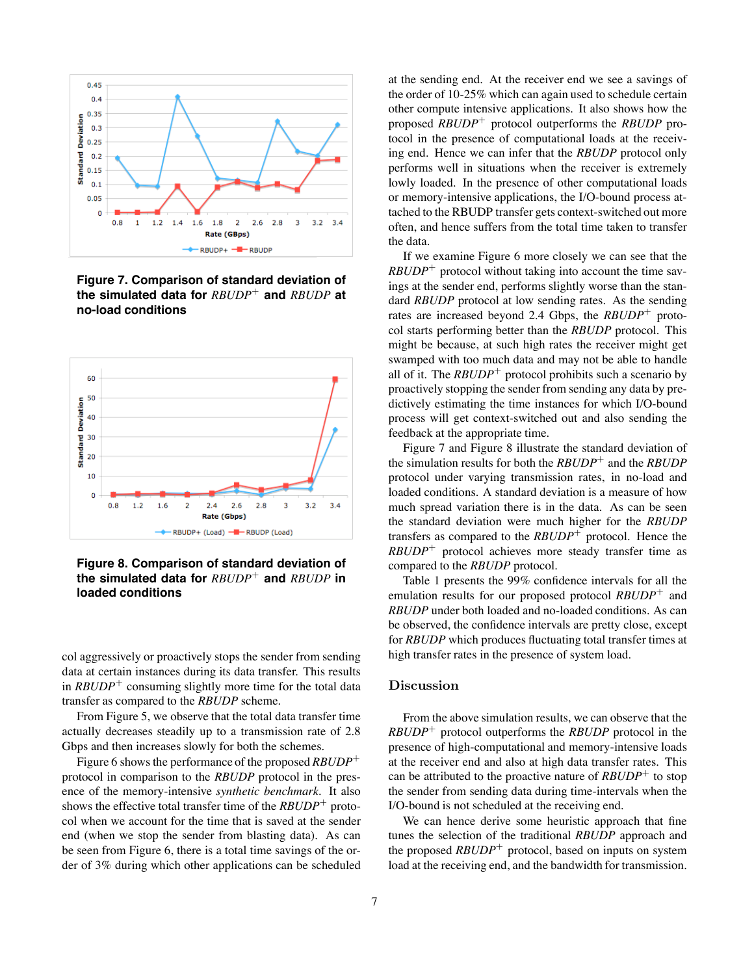

**Figure 7. Comparison of standard deviation of the simulated data for** *RBUDP*<sup>+</sup> **and** *RBUDP* **at no-load conditions**



**Figure 8. Comparison of standard deviation of the simulated data for** *RBUDP*<sup>+</sup> **and** *RBUDP* **in loaded conditions**

col aggressively or proactively stops the sender from sending data at certain instances during its data transfer. This results in *RBUDP*<sup>+</sup> consuming slightly more time for the total data transfer as compared to the *RBUDP* scheme.

From Figure 5, we observe that the total data transfer time actually decreases steadily up to a transmission rate of 2.8 Gbps and then increases slowly for both the schemes.

Figure 6 shows the performance of the proposed *RBUDP*<sup>+</sup> protocol in comparison to the *RBUDP* protocol in the presence of the memory-intensive *synthetic benchmark*. It also shows the effective total transfer time of the *RBUDP*<sup>+</sup> protocol when we account for the time that is saved at the sender end (when we stop the sender from blasting data). As can be seen from Figure 6, there is a total time savings of the order of 3% during which other applications can be scheduled at the sending end. At the receiver end we see a savings of the order of 10-25% which can again used to schedule certain other compute intensive applications. It also shows how the proposed *RBUDP*<sup>+</sup> protocol outperforms the *RBUDP* protocol in the presence of computational loads at the receiving end. Hence we can infer that the *RBUDP* protocol only performs well in situations when the receiver is extremely lowly loaded. In the presence of other computational loads or memory-intensive applications, the I/O-bound process attached to the RBUDP transfer gets context-switched out more often, and hence suffers from the total time taken to transfer the data.

If we examine Figure 6 more closely we can see that the *RBUDP*<sup>+</sup> protocol without taking into account the time savings at the sender end, performs slightly worse than the standard *RBUDP* protocol at low sending rates. As the sending rates are increased beyond 2.4 Gbps, the *RBUDP*<sup>+</sup> protocol starts performing better than the *RBUDP* protocol. This might be because, at such high rates the receiver might get swamped with too much data and may not be able to handle all of it. The  $RBUDP<sup>+</sup>$  protocol prohibits such a scenario by proactively stopping the sender from sending any data by predictively estimating the time instances for which I/O-bound process will get context-switched out and also sending the feedback at the appropriate time.

Figure 7 and Figure 8 illustrate the standard deviation of the simulation results for both the *RBUDP*<sup>+</sup> and the *RBUDP* protocol under varying transmission rates, in no-load and loaded conditions. A standard deviation is a measure of how much spread variation there is in the data. As can be seen the standard deviation were much higher for the *RBUDP* transfers as compared to the *RBUDP*<sup>+</sup> protocol. Hence the *RBUDP*<sup>+</sup> protocol achieves more steady transfer time as compared to the *RBUDP* protocol.

Table 1 presents the 99% confidence intervals for all the emulation results for our proposed protocol *RBUDP*<sup>+</sup> and *RBUDP* under both loaded and no-loaded conditions. As can be observed, the confidence intervals are pretty close, except for *RBUDP* which produces fluctuating total transfer times at high transfer rates in the presence of system load.

#### Discussion

From the above simulation results, we can observe that the *RBUDP*<sup>+</sup> protocol outperforms the *RBUDP* protocol in the presence of high-computational and memory-intensive loads at the receiver end and also at high data transfer rates. This can be attributed to the proactive nature of *RBUDP*<sup>+</sup> to stop the sender from sending data during time-intervals when the I/O-bound is not scheduled at the receiving end.

We can hence derive some heuristic approach that fine tunes the selection of the traditional *RBUDP* approach and the proposed *RBUDP*<sup>+</sup> protocol, based on inputs on system load at the receiving end, and the bandwidth for transmission.